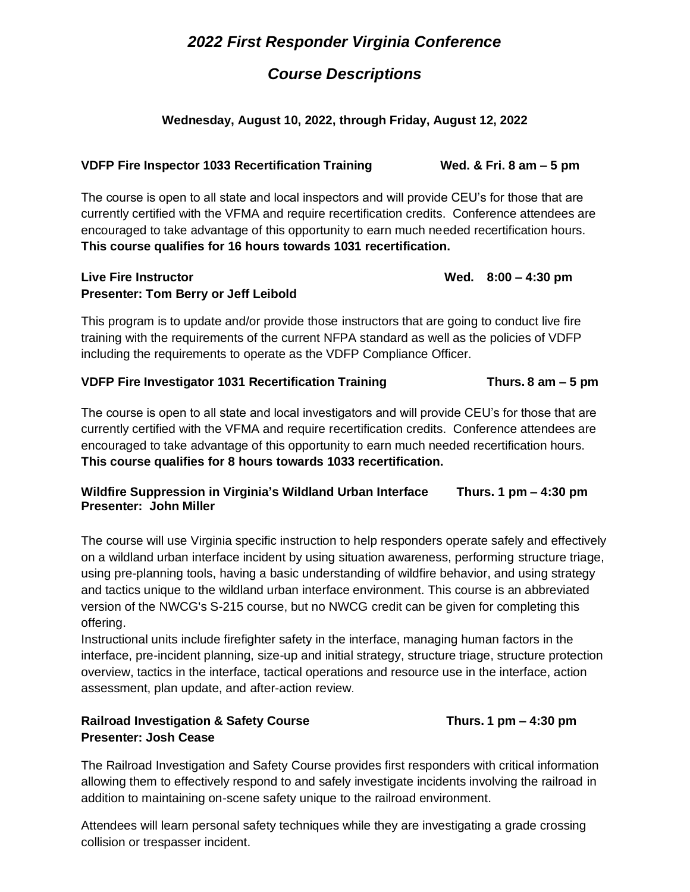# *2022 First Responder Virginia Conference*

# *Course Descriptions*

## **Wednesday, August 10, 2022, through Friday, August 12, 2022**

### **VDFP Fire Inspector 1033 Recertification Training Wed. & Fri. 8 am – 5 pm**

The course is open to all state and local inspectors and will provide CEU's for those that are currently certified with the VFMA and require recertification credits. Conference attendees are encouraged to take advantage of this opportunity to earn much needed recertification hours. **This course qualifies for 16 hours towards 1031 recertification.** 

### Live Fire Instructor **Contracts Contracts Wed.** 8:00 – 4:30 pm **Presenter: Tom Berry or Jeff Leibold**

This program is to update and/or provide those instructors that are going to conduct live fire training with the requirements of the current NFPA standard as well as the policies of VDFP including the requirements to operate as the VDFP Compliance Officer.

### **VDFP Fire Investigator 1031 Recertification Training Thurs. 8 am – 5 pm**

The course is open to all state and local investigators and will provide CEU's for those that are currently certified with the VFMA and require recertification credits. Conference attendees are encouraged to take advantage of this opportunity to earn much needed recertification hours. **This course qualifies for 8 hours towards 1033 recertification.**

### **Wildfire Suppression in Virginia's Wildland Urban Interface Thurs. 1 pm – 4:30 pm Presenter: John Miller**

The course will use Virginia specific instruction to help responders operate safely and effectively on a wildland urban interface incident by using situation awareness, performing structure triage, using pre-planning tools, having a basic understanding of wildfire behavior, and using strategy and tactics unique to the wildland urban interface environment. This course is an abbreviated version of the NWCG's S-215 course, but no NWCG credit can be given for completing this offering.

Instructional units include firefighter safety in the interface, managing human factors in the interface, pre-incident planning, size-up and initial strategy, structure triage, structure protection overview, tactics in the interface, tactical operations and resource use in the interface, action assessment, plan update, and after-action review.

## **Railroad Investigation & Safety Course Thurs. 1 pm – 4:30 pm Presenter: Josh Cease**

The Railroad Investigation and Safety Course provides first responders with critical information allowing them to effectively respond to and safely investigate incidents involving the railroad in addition to maintaining on-scene safety unique to the railroad environment.

Attendees will learn personal safety techniques while they are investigating a grade crossing collision or trespasser incident.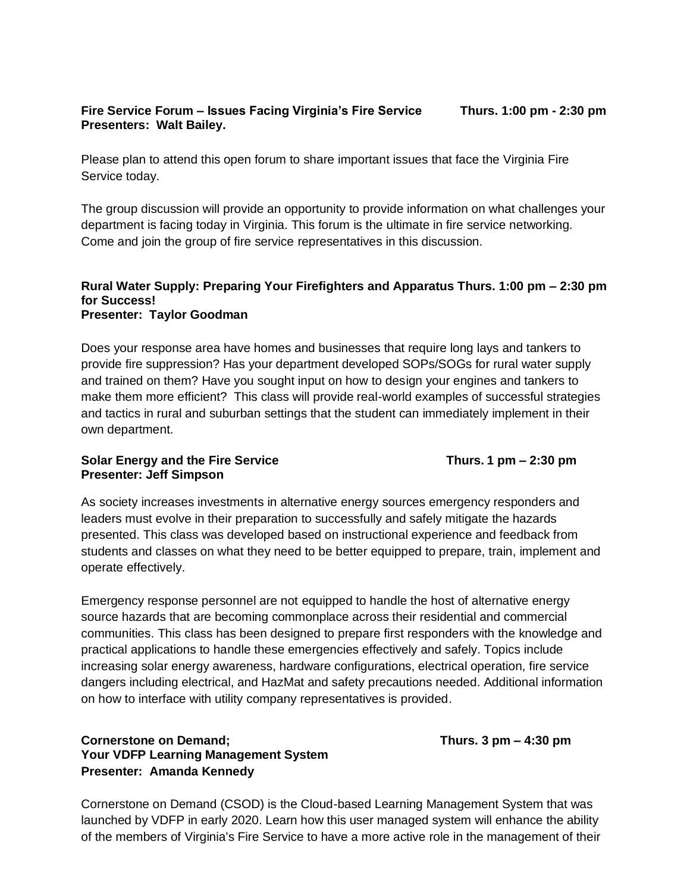### **Fire Service Forum – Issues Facing Virginia's Fire Service Thurs. 1:00 pm - 2:30 pm Presenters: Walt Bailey.**

Please plan to attend this open forum to share important issues that face the Virginia Fire Service today.

The group discussion will provide an opportunity to provide information on what challenges your department is facing today in Virginia. This forum is the ultimate in fire service networking. Come and join the group of fire service representatives in this discussion.

#### **Rural Water Supply: Preparing Your Firefighters and Apparatus Thurs. 1:00 pm – 2:30 pm for Success! Presenter: Taylor Goodman**

Does your response area have homes and businesses that require long lays and tankers to provide fire suppression? Has your department developed SOPs/SOGs for rural water supply and trained on them? Have you sought input on how to design your engines and tankers to make them more efficient? This class will provide real-world examples of successful strategies and tactics in rural and suburban settings that the student can immediately implement in their own department.

#### **Solar Energy and the Fire Service Thurs. 1 pm – 2:30 pm Presenter: Jeff Simpson**

As society increases investments in alternative energy sources emergency responders and leaders must evolve in their preparation to successfully and safely mitigate the hazards presented. This class was developed based on instructional experience and feedback from students and classes on what they need to be better equipped to prepare, train, implement and

operate effectively.

Emergency response personnel are not equipped to handle the host of alternative energy source hazards that are becoming commonplace across their residential and commercial communities. This class has been designed to prepare first responders with the knowledge and practical applications to handle these emergencies effectively and safely. Topics include increasing solar energy awareness, hardware configurations, electrical operation, fire service dangers including electrical, and HazMat and safety precautions needed. Additional information on how to interface with utility company representatives is provided.

## **Cornerstone on Demand; Thurs. 3 pm – 4:30 pm Your VDFP Learning Management System Presenter: Amanda Kennedy**

Cornerstone on Demand (CSOD) is the Cloud-based Learning Management System that was launched by VDFP in early 2020. Learn how this user managed system will enhance the ability of the members of Virginia's Fire Service to have a more active role in the management of their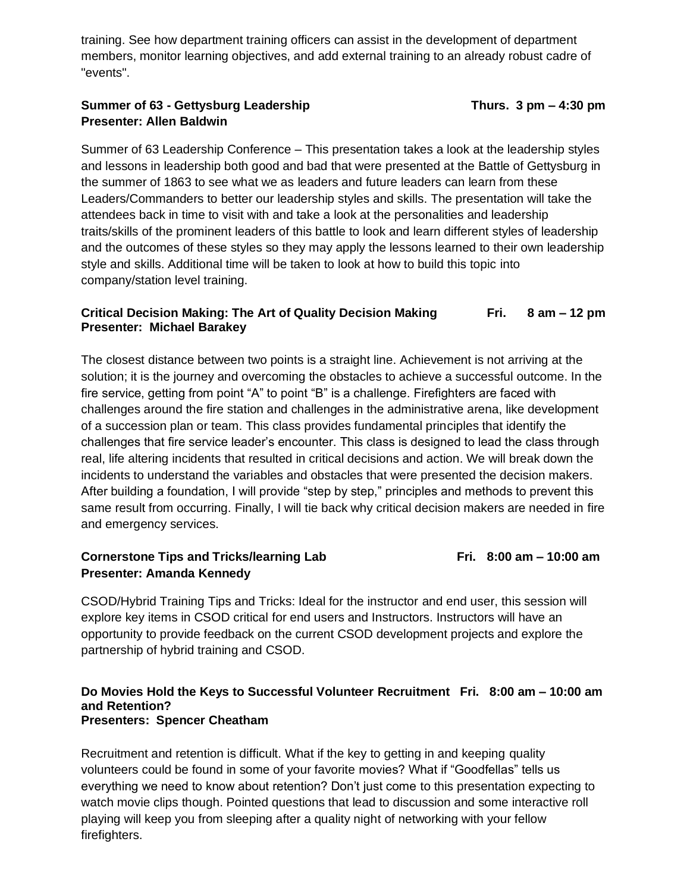training. See how department training officers can assist in the development of department members, monitor learning objectives, and add external training to an already robust cadre of "events".

## **Summer of 63 - Gettysburg Leadership Thurs. 3 pm – 4:30 pm Presenter: Allen Baldwin**

Summer of 63 Leadership Conference – This presentation takes a look at the leadership styles and lessons in leadership both good and bad that were presented at the Battle of Gettysburg in the summer of 1863 to see what we as leaders and future leaders can learn from these Leaders/Commanders to better our leadership styles and skills. The presentation will take the attendees back in time to visit with and take a look at the personalities and leadership traits/skills of the prominent leaders of this battle to look and learn different styles of leadership and the outcomes of these styles so they may apply the lessons learned to their own leadership style and skills. Additional time will be taken to look at how to build this topic into company/station level training.

### **Critical Decision Making: The Art of Quality Decision Making Fri. 8 am – 12 pm Presenter: Michael Barakey**

The closest distance between two points is a straight line. Achievement is not arriving at the solution; it is the journey and overcoming the obstacles to achieve a successful outcome. In the fire service, getting from point "A" to point "B" is a challenge. Firefighters are faced with challenges around the fire station and challenges in the administrative arena, like development of a succession plan or team. This class provides fundamental principles that identify the challenges that fire service leader's encounter. This class is designed to lead the class through real, life altering incidents that resulted in critical decisions and action. We will break down the incidents to understand the variables and obstacles that were presented the decision makers. After building a foundation, I will provide "step by step," principles and methods to prevent this same result from occurring. Finally, I will tie back why critical decision makers are needed in fire and emergency services.

### **Cornerstone Tips and Tricks/learning Lab** Fri. 8:00 am – 10:00 am **Presenter: Amanda Kennedy**

CSOD/Hybrid Training Tips and Tricks: Ideal for the instructor and end user, this session will explore key items in CSOD critical for end users and Instructors. Instructors will have an opportunity to provide feedback on the current CSOD development projects and explore the partnership of hybrid training and CSOD.

#### **Do Movies Hold the Keys to Successful Volunteer Recruitment Fri. 8:00 am – 10:00 am and Retention? Presenters: Spencer Cheatham**

Recruitment and retention is difficult. What if the key to getting in and keeping quality volunteers could be found in some of your favorite movies? What if "Goodfellas" tells us everything we need to know about retention? Don't just come to this presentation expecting to watch movie clips though. Pointed questions that lead to discussion and some interactive roll playing will keep you from sleeping after a quality night of networking with your fellow firefighters.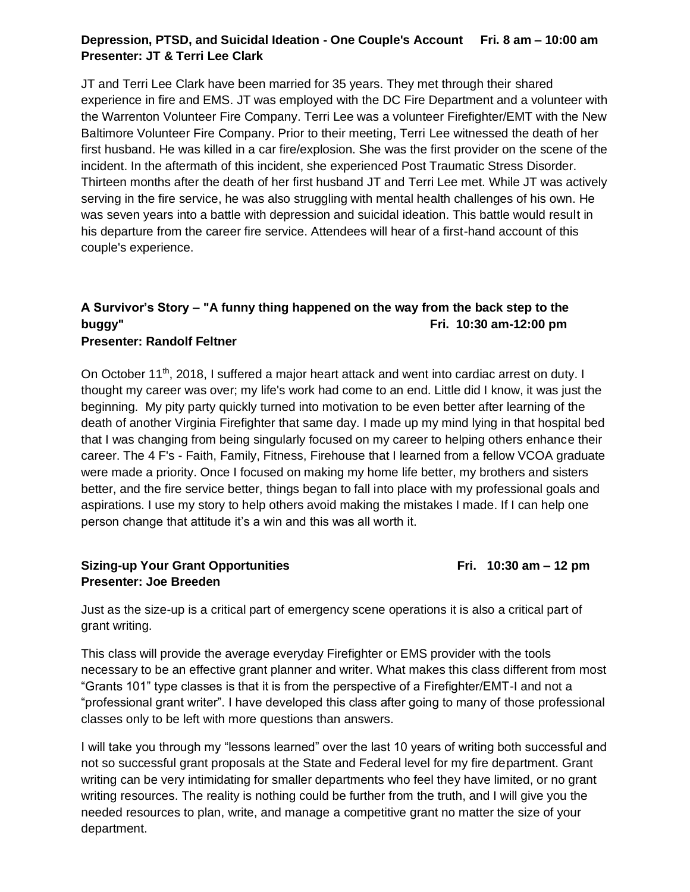# **Depression, PTSD, and Suicidal Ideation - One Couple's Account Fri. 8 am – 10:00 am Presenter: JT & Terri Lee Clark**

JT and Terri Lee Clark have been married for 35 years. They met through their shared experience in fire and EMS. JT was employed with the DC Fire Department and a volunteer with the Warrenton Volunteer Fire Company. Terri Lee was a volunteer Firefighter/EMT with the New Baltimore Volunteer Fire Company. Prior to their meeting, Terri Lee witnessed the death of her first husband. He was killed in a car fire/explosion. She was the first provider on the scene of the incident. In the aftermath of this incident, she experienced Post Traumatic Stress Disorder. Thirteen months after the death of her first husband JT and Terri Lee met. While JT was actively serving in the fire service, he was also struggling with mental health challenges of his own. He was seven years into a battle with depression and suicidal ideation. This battle would result in his departure from the career fire service. Attendees will hear of a first-hand account of this couple's experience.

# **A Survivor's Story – "A funny thing happened on the way from the back step to the buggy" Fri. 10:30 am-12:00 pm**

### **Presenter: Randolf Feltner**

On October 11<sup>th</sup>, 2018, I suffered a major heart attack and went into cardiac arrest on duty. I thought my career was over; my life's work had come to an end. Little did I know, it was just the beginning. My pity party quickly turned into motivation to be even better after learning of the death of another Virginia Firefighter that same day. I made up my mind lying in that hospital bed that I was changing from being singularly focused on my career to helping others enhance their career. The 4 F's - Faith, Family, Fitness, Firehouse that I learned from a fellow VCOA graduate were made a priority. Once I focused on making my home life better, my brothers and sisters better, and the fire service better, things began to fall into place with my professional goals and aspirations. I use my story to help others avoid making the mistakes I made. If I can help one person change that attitude it's a win and this was all worth it.

### **Sizing-up Your Grant Opportunities Fri. 10:30 am – 12 pm Presenter: Joe Breeden**

Just as the size-up is a critical part of emergency scene operations it is also a critical part of grant writing.

This class will provide the average everyday Firefighter or EMS provider with the tools necessary to be an effective grant planner and writer. What makes this class different from most "Grants 101" type classes is that it is from the perspective of a Firefighter/EMT-I and not a "professional grant writer". I have developed this class after going to many of those professional classes only to be left with more questions than answers.

I will take you through my "lessons learned" over the last 10 years of writing both successful and not so successful grant proposals at the State and Federal level for my fire department. Grant writing can be very intimidating for smaller departments who feel they have limited, or no grant writing resources. The reality is nothing could be further from the truth, and I will give you the needed resources to plan, write, and manage a competitive grant no matter the size of your department.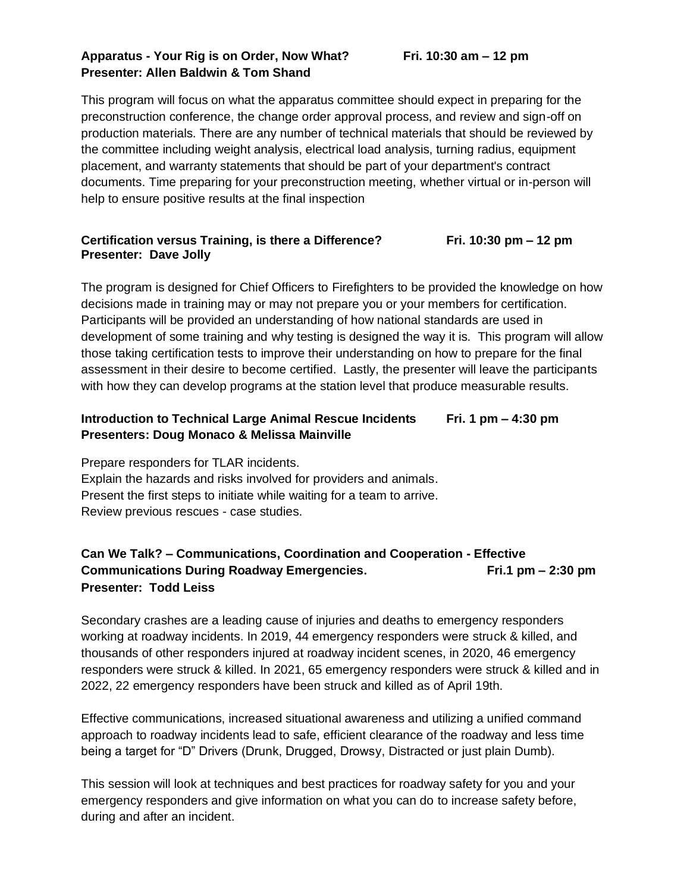## **Apparatus - Your Rig is on Order, Now What? Fri. 10:30 am – 12 pm Presenter: Allen Baldwin & Tom Shand**

This program will focus on what the apparatus committee should expect in preparing for the preconstruction conference, the change order approval process, and review and sign-off on production materials. There are any number of technical materials that should be reviewed by the committee including weight analysis, electrical load analysis, turning radius, equipment placement, and warranty statements that should be part of your department's contract documents. Time preparing for your preconstruction meeting, whether virtual or in-person will help to ensure positive results at the final inspection

### **Certification versus Training, is there a Difference? Fri. 10:30 pm – 12 pm Presenter: Dave Jolly**

The program is designed for Chief Officers to Firefighters to be provided the knowledge on how decisions made in training may or may not prepare you or your members for certification. Participants will be provided an understanding of how national standards are used in development of some training and why testing is designed the way it is. This program will allow those taking certification tests to improve their understanding on how to prepare for the final assessment in their desire to become certified. Lastly, the presenter will leave the participants with how they can develop programs at the station level that produce measurable results.

# **Introduction to Technical Large Animal Rescue Incidents Fri. 1 pm – 4:30 pm Presenters: Doug Monaco & Melissa Mainville**

Prepare responders for TLAR incidents. Explain the hazards and risks involved for providers and animals. Present the first steps to initiate while waiting for a team to arrive. Review previous rescues - case studies.

## **Can We Talk? – Communications, Coordination and Cooperation - Effective Communications During Roadway Emergencies. Fri.1 pm – 2:30 pm Presenter: Todd Leiss**

Secondary crashes are a leading cause of injuries and deaths to emergency responders working at roadway incidents. In 2019, 44 emergency responders were struck & killed, and thousands of other responders injured at roadway incident scenes, in 2020, 46 emergency responders were struck & killed. In 2021, 65 emergency responders were struck & killed and in 2022, 22 emergency responders have been struck and killed as of April 19th.

Effective communications, increased situational awareness and utilizing a unified command approach to roadway incidents lead to safe, efficient clearance of the roadway and less time being a target for "D" Drivers (Drunk, Drugged, Drowsy, Distracted or just plain Dumb).

This session will look at techniques and best practices for roadway safety for you and your emergency responders and give information on what you can do to increase safety before, during and after an incident.